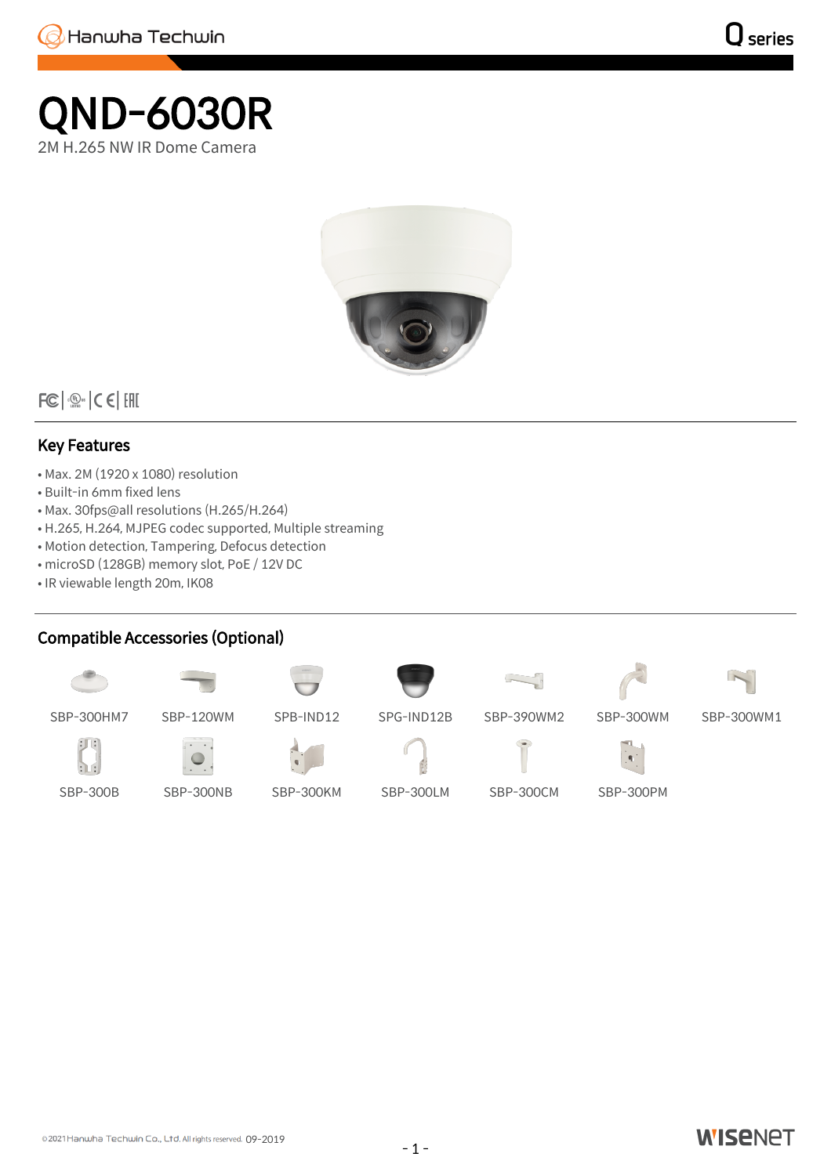## QND-6030R 2M H.265 NW IR Dome Camera



 $|FC|$   $\frac{1}{2}$   $C$   $C$   $|CHI$ 

## Key Features

- Max. 2M (1920 x 1080) resolution
- Built-in 6mm fixed lens
- Max. 30fps@all resolutions (H.265/H.264)
- H.265, H.264, MJPEG codec supported, Multiple streaming
- Motion detection, Tampering, Defocus detection
- microSD (128GB) memory slot, PoE / 12V DC
- IR viewable length 20m, IK08

## Compatible Accessories (Optional)





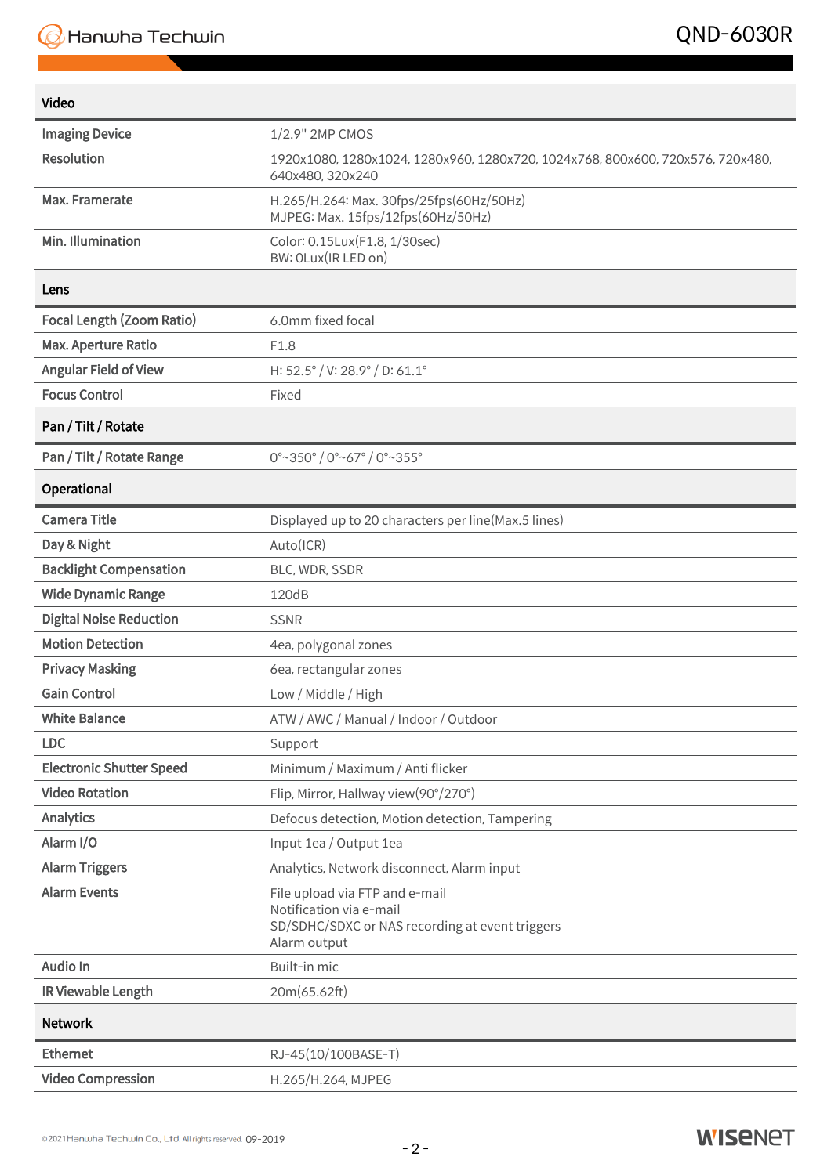| Video                            |                                                                                                                              |  |
|----------------------------------|------------------------------------------------------------------------------------------------------------------------------|--|
| <b>Imaging Device</b>            | 1/2.9" 2MP CMOS                                                                                                              |  |
| <b>Resolution</b>                | 1920x1080, 1280x1024, 1280x960, 1280x720, 1024x768, 800x600, 720x576, 720x480,<br>640x480, 320x240                           |  |
| Max. Framerate                   | H.265/H.264: Max. 30fps/25fps(60Hz/50Hz)<br>MJPEG: Max. 15fps/12fps(60Hz/50Hz)                                               |  |
| Min. Illumination                | Color: 0.15Lux(F1.8, 1/30sec)<br>BW: OLux(IR LED on)                                                                         |  |
| Lens                             |                                                                                                                              |  |
| <b>Focal Length (Zoom Ratio)</b> | 6.0mm fixed focal                                                                                                            |  |
| Max. Aperture Ratio              | F1.8                                                                                                                         |  |
| <b>Angular Field of View</b>     | H: 52.5° / V: 28.9° / D: 61.1°                                                                                               |  |
| <b>Focus Control</b>             | Fixed                                                                                                                        |  |
| Pan / Tilt / Rotate              |                                                                                                                              |  |
| Pan / Tilt / Rotate Range        | $0^{\circ}$ ~350 $^{\circ}$ / 0 $^{\circ}$ ~67 $^{\circ}$ / 0 $^{\circ}$ ~355 $^{\circ}$                                     |  |
| Operational                      |                                                                                                                              |  |
| <b>Camera Title</b>              | Displayed up to 20 characters per line(Max.5 lines)                                                                          |  |
| Day & Night                      | Auto(ICR)                                                                                                                    |  |
| <b>Backlight Compensation</b>    | BLC, WDR, SSDR                                                                                                               |  |
| <b>Wide Dynamic Range</b>        | 120dB                                                                                                                        |  |
| <b>Digital Noise Reduction</b>   | <b>SSNR</b>                                                                                                                  |  |
| <b>Motion Detection</b>          | 4ea, polygonal zones                                                                                                         |  |
| <b>Privacy Masking</b>           | 6ea, rectangular zones                                                                                                       |  |
| <b>Gain Control</b>              | Low / Middle / High                                                                                                          |  |
| <b>White Balance</b>             | ATW / AWC / Manual / Indoor / Outdoor                                                                                        |  |
| <b>LDC</b>                       | Support                                                                                                                      |  |
| <b>Electronic Shutter Speed</b>  | Minimum / Maximum / Anti flicker                                                                                             |  |
| <b>Video Rotation</b>            | Flip, Mirror, Hallway view(90°/270°)                                                                                         |  |
| Analytics                        | Defocus detection, Motion detection, Tampering                                                                               |  |
| Alarm I/O                        | Input 1ea / Output 1ea                                                                                                       |  |
| <b>Alarm Triggers</b>            | Analytics, Network disconnect, Alarm input                                                                                   |  |
| <b>Alarm Events</b>              | File upload via FTP and e-mail<br>Notification via e-mail<br>SD/SDHC/SDXC or NAS recording at event triggers<br>Alarm output |  |
| Audio In                         | Built-in mic                                                                                                                 |  |
| IR Viewable Length               | 20m(65.62ft)                                                                                                                 |  |
| <b>Network</b>                   |                                                                                                                              |  |
| <b>Ethernet</b>                  | RJ-45(10/100BASE-T)                                                                                                          |  |
| <b>Video Compression</b>         | H.265/H.264, MJPEG                                                                                                           |  |

## **WISENET**